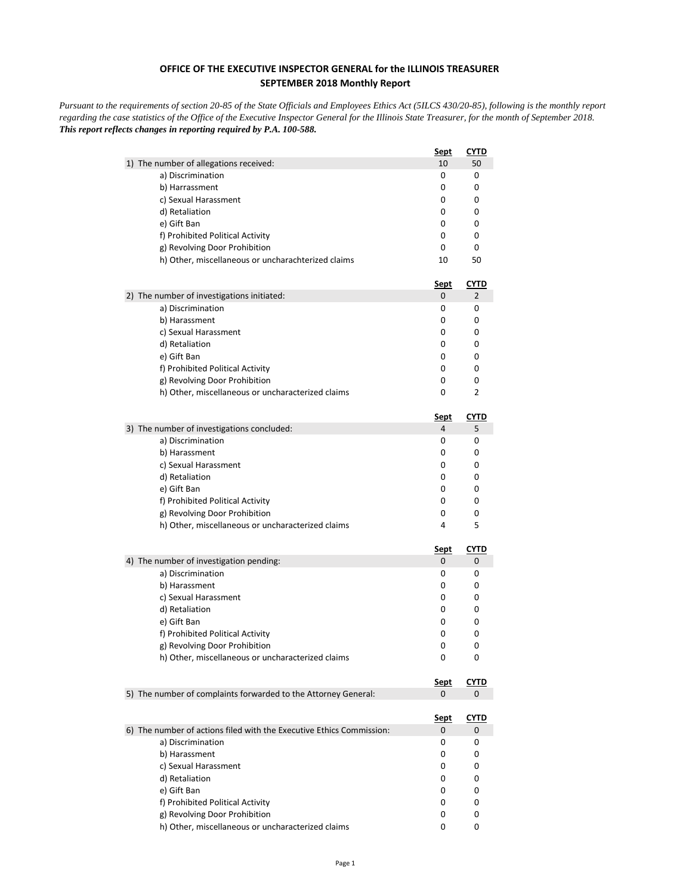## **OFFICE OF THE EXECUTIVE INSPECTOR GENERAL for the ILLINOIS TREASURER SEPTEMBER 2018 Monthly Report**

*Pursuant to the requirements of section 20-85 of the State Officials and Employees Ethics Act (5ILCS 430/20-85), following is the monthly report regarding the case statistics of the Office of the Executive Inspector General for the Illinois State Treasurer, for the month of September 2018. This report reflects changes in reporting required by P.A. 100-588.*

|                                                                      | <u>Sept</u> | <b>CYTD</b> |
|----------------------------------------------------------------------|-------------|-------------|
| 1) The number of allegations received:                               | 10          | 50          |
| a) Discrimination                                                    | 0           | 0           |
| b) Harrassment                                                       | 0           | 0           |
| c) Sexual Harassment                                                 | 0           | 0           |
| d) Retaliation                                                       | 0           | 0           |
| e) Gift Ban                                                          | 0           | 0           |
| f) Prohibited Political Activity                                     | 0           | 0           |
| g) Revolving Door Prohibition                                        | 0           | 0           |
| h) Other, miscellaneous or uncharachterized claims                   | 10          | 50          |
|                                                                      | <u>Sept</u> | <u>CYTD</u> |
| 2) The number of investigations initiated:                           | 0           | 2           |
| a) Discrimination                                                    | 0           | 0           |
| b) Harassment                                                        | 0           | 0           |
| c) Sexual Harassment                                                 | 0           | 0           |
| d) Retaliation                                                       | 0           | 0           |
| e) Gift Ban                                                          | 0           | 0           |
| f) Prohibited Political Activity                                     | 0           | 0           |
| g) Revolving Door Prohibition                                        | 0           | 0           |
| h) Other, miscellaneous or uncharacterized claims                    | 0           | 2           |
|                                                                      | Sept        | CYTD        |
| 3) The number of investigations concluded:                           | 4           | 5           |
| a) Discrimination                                                    | 0           | 0           |
| b) Harassment                                                        | 0           | 0           |
| c) Sexual Harassment                                                 | 0           | 0           |
| d) Retaliation                                                       | 0           | 0           |
| e) Gift Ban                                                          | 0           | 0           |
| f) Prohibited Political Activity                                     | 0           | 0           |
| g) Revolving Door Prohibition                                        | 0           | 0           |
| h) Other, miscellaneous or uncharacterized claims                    | 4           | 5           |
|                                                                      | <u>Sept</u> | <b>CYTD</b> |
| 4) The number of investigation pending:                              | 0           | 0           |
| a) Discrimination                                                    | 0           | 0           |
| b) Harassment                                                        | 0           | 0           |
| c) Sexual Harassment                                                 | 0           | 0           |
| d) Retaliation                                                       | 0           | 0           |
| e) Gift Ban                                                          | 0           | 0           |
| f) Prohibited Political Activity                                     | 0           | 0           |
| g) Revolving Door Prohibition                                        | 0           | 0           |
| h) Other, miscellaneous or uncharacterized claims                    | 0           | 0           |
|                                                                      | <u>Sept</u> | CYTD        |
| 5) The number of complaints forwarded to the Attorney General:       | 0           | 0           |
|                                                                      | <u>Sept</u> | <u>CYTD</u> |
| 6) The number of actions filed with the Executive Ethics Commission: | 0           | 0           |
| a) Discrimination                                                    | 0           | 0           |
| b) Harassment                                                        | 0           | 0           |
| c) Sexual Harassment                                                 | 0           | 0           |
| d) Retaliation                                                       | 0           | 0           |
| e) Gift Ban                                                          | 0           | 0           |
| f) Prohibited Political Activity                                     | 0           | 0           |
| g) Revolving Door Prohibition                                        | 0           | 0           |
| h) Other, miscellaneous or uncharacterized claims                    | 0           | 0           |